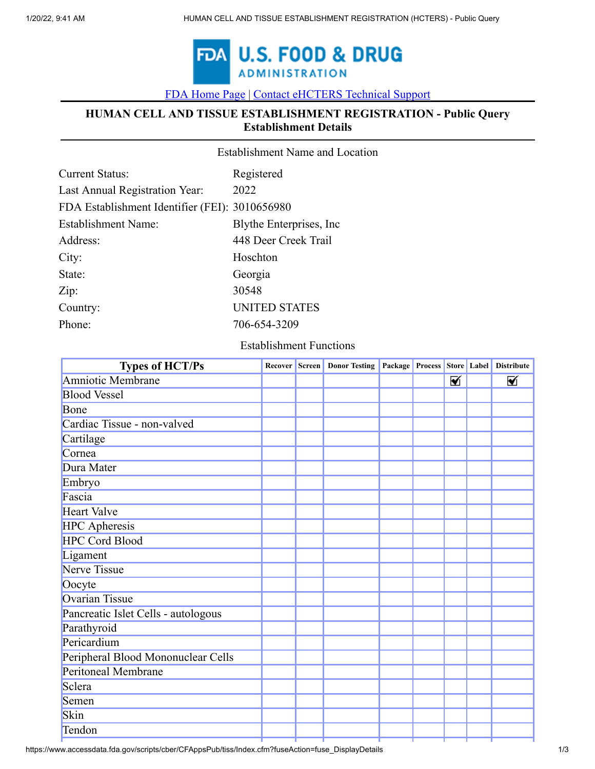

[FDA Home Page](https://www.fda.gov/default.htm) [|](https://www.fda.gov/) [Contact eHCTERS Technical Support](javascript:void(0);)

# **HUMAN CELL AND TISSUE ESTABLISHMENT REGISTRATION - Public Query Establishment Details**

Establishment Name and Location

| <b>Current Status:</b>                         | Registered               |
|------------------------------------------------|--------------------------|
| Last Annual Registration Year:                 | 2022                     |
| FDA Establishment Identifier (FEI): 3010656980 |                          |
| <b>Establishment Name:</b>                     | Blythe Enterprises, Inc. |
| Address:                                       | 448 Deer Creek Trail     |
| City:                                          | Hoschton                 |
| State:                                         | Georgia                  |
| Zip:                                           | 30548                    |
| Country:                                       | <b>UNITED STATES</b>     |
| Phone:                                         | 706-654-3209             |

#### Establishment Functions

| Recover |  |                      |   | <b>Distribute</b>           |
|---------|--|----------------------|---|-----------------------------|
|         |  |                      | ⊠ | ⊠                           |
|         |  |                      |   |                             |
|         |  |                      |   |                             |
|         |  |                      |   |                             |
|         |  |                      |   |                             |
|         |  |                      |   |                             |
|         |  |                      |   |                             |
|         |  |                      |   |                             |
|         |  |                      |   |                             |
|         |  |                      |   |                             |
|         |  |                      |   |                             |
|         |  |                      |   |                             |
|         |  |                      |   |                             |
|         |  |                      |   |                             |
|         |  |                      |   |                             |
|         |  |                      |   |                             |
|         |  |                      |   |                             |
|         |  |                      |   |                             |
|         |  |                      |   |                             |
|         |  |                      |   |                             |
|         |  |                      |   |                             |
|         |  |                      |   |                             |
|         |  |                      |   |                             |
|         |  |                      |   |                             |
|         |  |                      |   |                             |
|         |  | Screen Donor Testing |   | Package Process Store Label |

https://www.accessdata.fda.gov/scripts/cber/CFAppsPub/tiss/Index.cfm?fuseAction=fuse\_DisplayDetails 1/3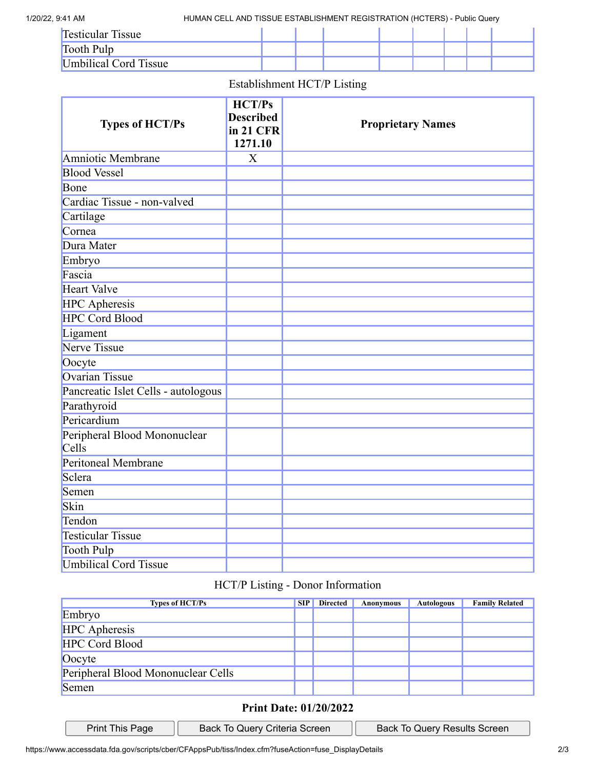1/20/22, 9:41 AM HUMAN CELL AND TISSUE ESTABLISHMENT REGISTRATION (HCTERS) - Public Query

| <b>Testicular Tissue</b> |  |  |  |  |
|--------------------------|--|--|--|--|
| Tooth Pulp               |  |  |  |  |
| Umbilical Cord Tissue    |  |  |  |  |

### Establishment HCT/P Listing

| <b>Types of HCT/Ps</b>                | HCT/Ps<br><b>Described</b><br>in 21 CFR<br>1271.10 | <b>Proprietary Names</b> |
|---------------------------------------|----------------------------------------------------|--------------------------|
| Amniotic Membrane                     | $\boldsymbol{\mathrm{X}}$                          |                          |
| <b>Blood Vessel</b>                   |                                                    |                          |
| Bone                                  |                                                    |                          |
| Cardiac Tissue - non-valved           |                                                    |                          |
| Cartilage                             |                                                    |                          |
| Cornea                                |                                                    |                          |
| Dura Mater                            |                                                    |                          |
| Embryo                                |                                                    |                          |
| Fascia                                |                                                    |                          |
| <b>Heart Valve</b>                    |                                                    |                          |
| <b>HPC</b> Apheresis                  |                                                    |                          |
| <b>HPC Cord Blood</b>                 |                                                    |                          |
| Ligament                              |                                                    |                          |
| <b>Nerve Tissue</b>                   |                                                    |                          |
| Oocyte                                |                                                    |                          |
| <b>Ovarian Tissue</b>                 |                                                    |                          |
| Pancreatic Islet Cells - autologous   |                                                    |                          |
| Parathyroid                           |                                                    |                          |
| Pericardium                           |                                                    |                          |
| Peripheral Blood Mononuclear<br>Cells |                                                    |                          |
| Peritoneal Membrane                   |                                                    |                          |
| Sclera                                |                                                    |                          |
| Semen                                 |                                                    |                          |
| Skin                                  |                                                    |                          |
| Tendon                                |                                                    |                          |
| <b>Testicular Tissue</b>              |                                                    |                          |
| <b>Tooth Pulp</b>                     |                                                    |                          |
| <b>Umbilical Cord Tissue</b>          |                                                    |                          |

# HCT/P Listing - Donor Information

| <b>Types of HCT/Ps</b>             | <b>SIP</b> | <b>Directed</b> | Anonymous | <b>Autologous</b> | <b>Family Related</b> |
|------------------------------------|------------|-----------------|-----------|-------------------|-----------------------|
| Embryo                             |            |                 |           |                   |                       |
| <b>HPC</b> Apheresis               |            |                 |           |                   |                       |
| <b>HPC Cord Blood</b>              |            |                 |           |                   |                       |
| Oocyte                             |            |                 |           |                   |                       |
| Peripheral Blood Mononuclear Cells |            |                 |           |                   |                       |
| Semen                              |            |                 |           |                   |                       |

## **Print Date: 01/20/2022**

| Print This Page |  |
|-----------------|--|
|                 |  |